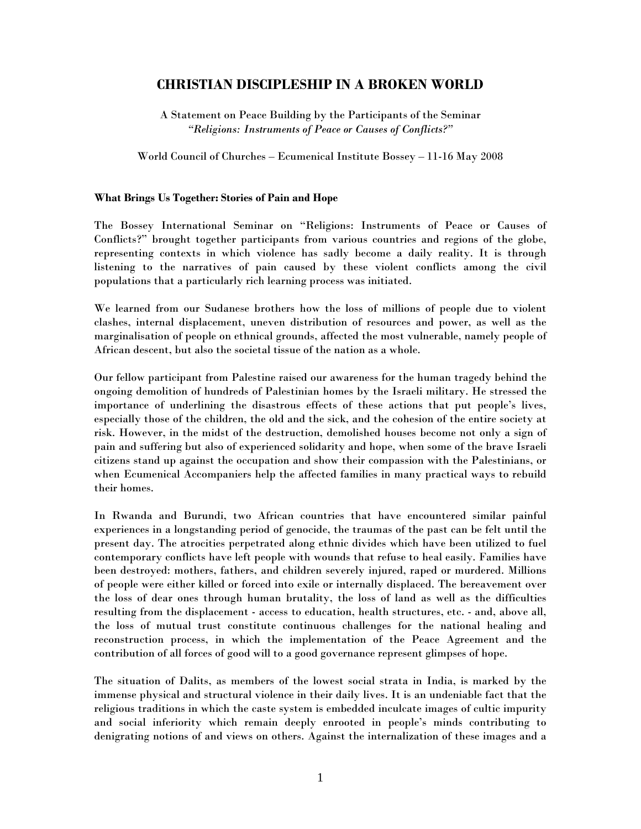# CHRISTIAN DISCIPLESHIP IN A BROKEN WORLD

A Statement on Peace Building by the Participants of the Seminar "Religions: Instruments of Peace or Causes of Conflicts?"

World Council of Churches – Ecumenical Institute Bossey – 11-16 May 2008

#### What Brings Us Together: Stories of Pain and Hope

The Bossey International Seminar on "Religions: Instruments of Peace or Causes of Conflicts?" brought together participants from various countries and regions of the globe, representing contexts in which violence has sadly become a daily reality. It is through listening to the narratives of pain caused by these violent conflicts among the civil populations that a particularly rich learning process was initiated.

We learned from our Sudanese brothers how the loss of millions of people due to violent clashes, internal displacement, uneven distribution of resources and power, as well as the marginalisation of people on ethnical grounds, affected the most vulnerable, namely people of African descent, but also the societal tissue of the nation as a whole.

Our fellow participant from Palestine raised our awareness for the human tragedy behind the ongoing demolition of hundreds of Palestinian homes by the Israeli military. He stressed the importance of underlining the disastrous effects of these actions that put people's lives, especially those of the children, the old and the sick, and the cohesion of the entire society at risk. However, in the midst of the destruction, demolished houses become not only a sign of pain and suffering but also of experienced solidarity and hope, when some of the brave Israeli citizens stand up against the occupation and show their compassion with the Palestinians, or when Ecumenical Accompaniers help the affected families in many practical ways to rebuild their homes.

In Rwanda and Burundi, two African countries that have encountered similar painful experiences in a longstanding period of genocide, the traumas of the past can be felt until the present day. The atrocities perpetrated along ethnic divides which have been utilized to fuel contemporary conflicts have left people with wounds that refuse to heal easily. Families have been destroyed: mothers, fathers, and children severely injured, raped or murdered. Millions of people were either killed or forced into exile or internally displaced. The bereavement over the loss of dear ones through human brutality, the loss of land as well as the difficulties resulting from the displacement - access to education, health structures, etc. - and, above all, the loss of mutual trust constitute continuous challenges for the national healing and reconstruction process, in which the implementation of the Peace Agreement and the contribution of all forces of good will to a good governance represent glimpses of hope.

The situation of Dalits, as members of the lowest social strata in India, is marked by the immense physical and structural violence in their daily lives. It is an undeniable fact that the religious traditions in which the caste system is embedded inculcate images of cultic impurity and social inferiority which remain deeply enrooted in people's minds contributing to denigrating notions of and views on others. Against the internalization of these images and a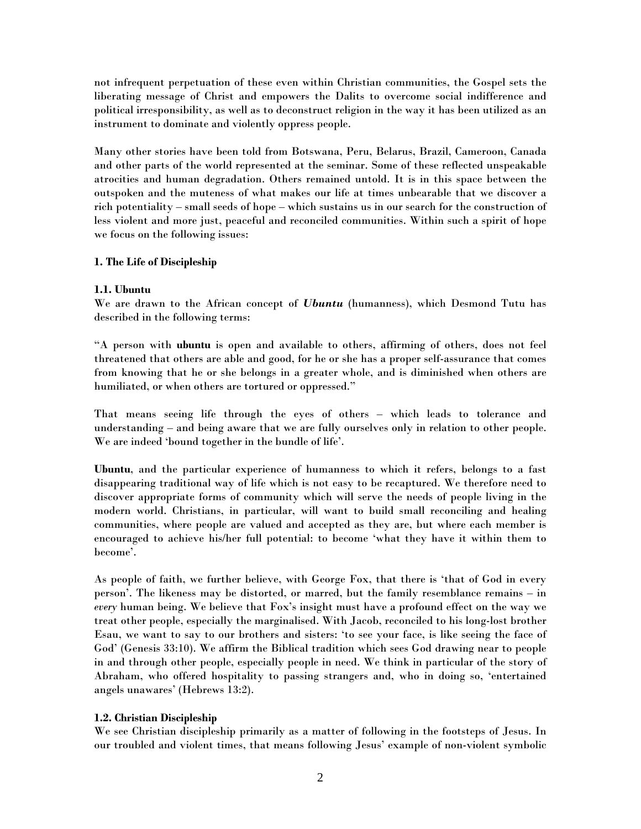not infrequent perpetuation of these even within Christian communities, the Gospel sets the liberating message of Christ and empowers the Dalits to overcome social indifference and political irresponsibility, as well as to deconstruct religion in the way it has been utilized as an instrument to dominate and violently oppress people.

Many other stories have been told from Botswana, Peru, Belarus, Brazil, Cameroon, Canada and other parts of the world represented at the seminar. Some of these reflected unspeakable atrocities and human degradation. Others remained untold. It is in this space between the outspoken and the muteness of what makes our life at times unbearable that we discover a rich potentiality – small seeds of hope – which sustains us in our search for the construction of less violent and more just, peaceful and reconciled communities. Within such a spirit of hope we focus on the following issues:

## 1. The Life of Discipleship

# 1.1. Ubuntu

We are drawn to the African concept of *Ubuntu* (humanness), which Desmond Tutu has described in the following terms:

"A person with ubuntu is open and available to others, affirming of others, does not feel threatened that others are able and good, for he or she has a proper self-assurance that comes from knowing that he or she belongs in a greater whole, and is diminished when others are humiliated, or when others are tortured or oppressed."

That means seeing life through the eyes of others – which leads to tolerance and understanding – and being aware that we are fully ourselves only in relation to other people. We are indeed 'bound together in the bundle of life'.

Ubuntu, and the particular experience of humanness to which it refers, belongs to a fast disappearing traditional way of life which is not easy to be recaptured. We therefore need to discover appropriate forms of community which will serve the needs of people living in the modern world. Christians, in particular, will want to build small reconciling and healing communities, where people are valued and accepted as they are, but where each member is encouraged to achieve his/her full potential: to become 'what they have it within them to become'.

As people of faith, we further believe, with George Fox, that there is 'that of God in every person'. The likeness may be distorted, or marred, but the family resemblance remains – in every human being. We believe that Fox's insight must have a profound effect on the way we treat other people, especially the marginalised. With Jacob, reconciled to his long-lost brother Esau, we want to say to our brothers and sisters: 'to see your face, is like seeing the face of God' (Genesis 33:10). We affirm the Biblical tradition which sees God drawing near to people in and through other people, especially people in need. We think in particular of the story of Abraham, who offered hospitality to passing strangers and, who in doing so, 'entertained angels unawares' (Hebrews 13:2).

# 1.2. Christian Discipleship

We see Christian discipleship primarily as a matter of following in the footsteps of Jesus. In our troubled and violent times, that means following Jesus' example of non-violent symbolic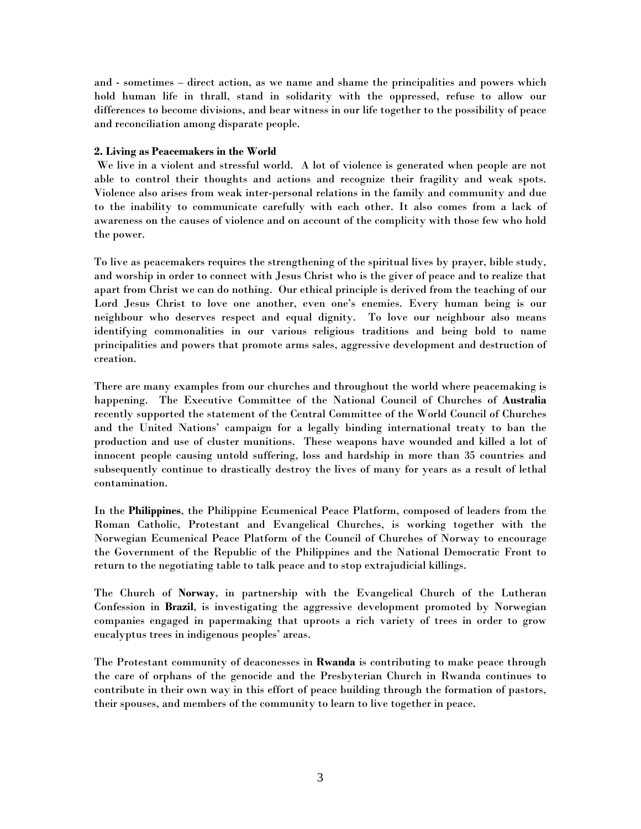and - sometimes – direct action, as we name and shame the principalities and powers which hold human life in thrall, stand in solidarity with the oppressed, refuse to allow our differences to become divisions, and bear witness in our life together to the possibility of peace and reconciliation among disparate people.

## 2. Living as Peacemakers in the World

We live in a violent and stressful world. A lot of violence is generated when people are not able to control their thoughts and actions and recognize their fragility and weak spots. Violence also arises from weak inter-personal relations in the family and community and due to the inability to communicate carefully with each other. It also comes from a lack of awareness on the causes of violence and on account of the complicity with those few who hold the power.

To live as peacemakers requires the strengthening of the spiritual lives by prayer, bible study, and worship in order to connect with Jesus Christ who is the giver of peace and to realize that apart from Christ we can do nothing. Our ethical principle is derived from the teaching of our Lord Jesus Christ to love one another, even one's enemies. Every human being is our neighbour who deserves respect and equal dignity. To love our neighbour also means identifying commonalities in our various religious traditions and being bold to name principalities and powers that promote arms sales, aggressive development and destruction of creation.

There are many examples from our churches and throughout the world where peacemaking is happening. The Executive Committee of the National Council of Churches of Australia recently supported the statement of the Central Committee of the World Council of Churches and the United Nations' campaign for a legally binding international treaty to ban the production and use of cluster munitions. These weapons have wounded and killed a lot of innocent people causing untold suffering, loss and hardship in more than 35 countries and subsequently continue to drastically destroy the lives of many for years as a result of lethal contamination.

In the Philippines, the Philippine Ecumenical Peace Platform, composed of leaders from the Roman Catholic, Protestant and Evangelical Churches, is working together with the Norwegian Ecumenical Peace Platform of the Council of Churches of Norway to encourage the Government of the Republic of the Philippines and the National Democratic Front to return to the negotiating table to talk peace and to stop extrajudicial killings.

The Church of Norway, in partnership with the Evangelical Church of the Lutheran Confession in Brazil, is investigating the aggressive development promoted by Norwegian companies engaged in papermaking that uproots a rich variety of trees in order to grow eucalyptus trees in indigenous peoples' areas.

The Protestant community of deaconesses in Rwanda is contributing to make peace through the care of orphans of the genocide and the Presbyterian Church in Rwanda continues to contribute in their own way in this effort of peace building through the formation of pastors, their spouses, and members of the community to learn to live together in peace.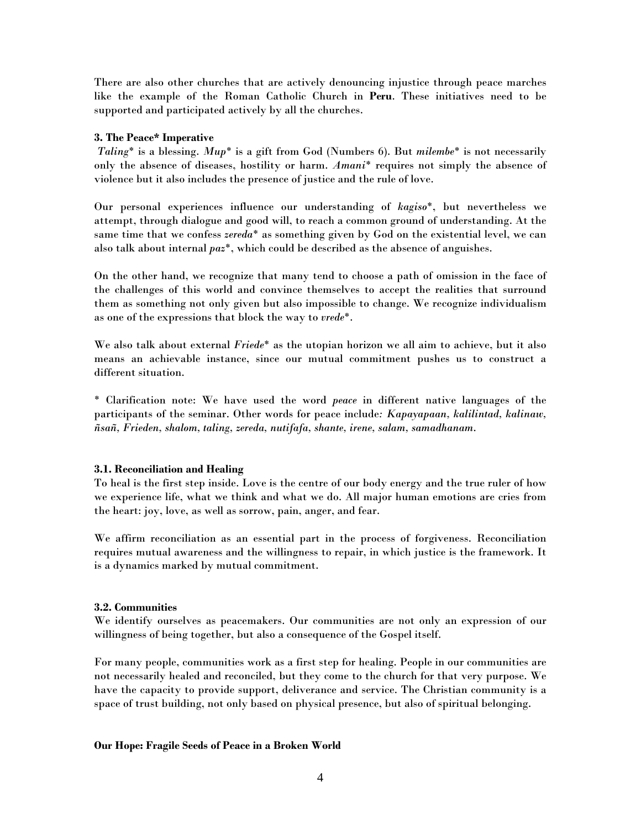There are also other churches that are actively denouncing injustice through peace marches like the example of the Roman Catholic Church in Peru. These initiatives need to be supported and participated actively by all the churches.

### 3. The Peace\* Imperative

Taling\* is a blessing. Mup\* is a gift from God (Numbers 6). But milembe\* is not necessarily only the absence of diseases, hostility or harm. Amani\* requires not simply the absence of violence but it also includes the presence of justice and the rule of love.

Our personal experiences influence our understanding of kagiso\*, but nevertheless we attempt, through dialogue and good will, to reach a common ground of understanding. At the same time that we confess  $zereda^*$  as something given by God on the existential level, we can also talk about internal paz\*, which could be described as the absence of anguishes.

On the other hand, we recognize that many tend to choose a path of omission in the face of the challenges of this world and convince themselves to accept the realities that surround them as something not only given but also impossible to change. We recognize individualism as one of the expressions that block the way to vrede\*.

We also talk about external  $Friede^*$  as the utopian horizon we all aim to achieve, but it also means an achievable instance, since our mutual commitment pushes us to construct a different situation.

\* Clarification note: We have used the word peace in different native languages of the participants of the seminar. Other words for peace include: Kapayapaan, kalilintad, kalinaw, ñsañ, Frieden, shalom, taling, zereda, nutifafa, shante, irene, salam, samadhanam.

## 3.1. Reconciliation and Healing

To heal is the first step inside. Love is the centre of our body energy and the true ruler of how we experience life, what we think and what we do. All major human emotions are cries from the heart: joy, love, as well as sorrow, pain, anger, and fear.

We affirm reconciliation as an essential part in the process of forgiveness. Reconciliation requires mutual awareness and the willingness to repair, in which justice is the framework. It is a dynamics marked by mutual commitment.

### 3.2. Communities

We identify ourselves as peacemakers. Our communities are not only an expression of our willingness of being together, but also a consequence of the Gospel itself.

For many people, communities work as a first step for healing. People in our communities are not necessarily healed and reconciled, but they come to the church for that very purpose. We have the capacity to provide support, deliverance and service. The Christian community is a space of trust building, not only based on physical presence, but also of spiritual belonging.

### Our Hope: Fragile Seeds of Peace in a Broken World